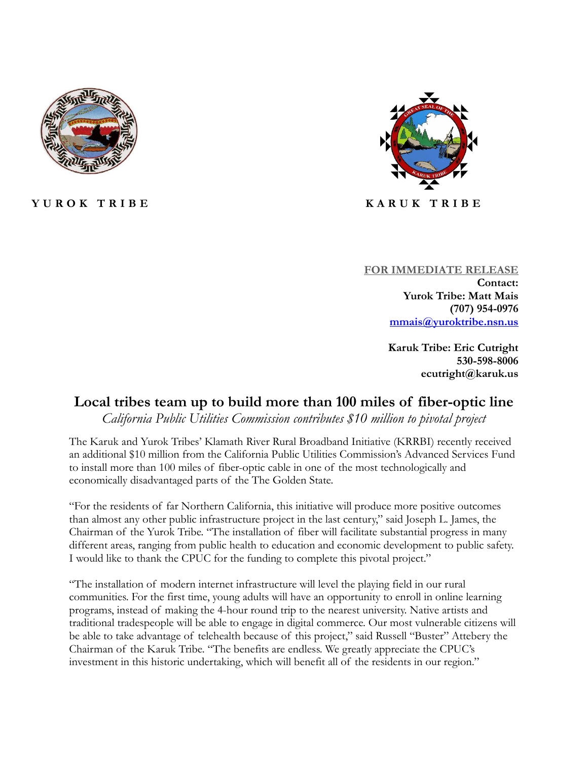

**Y U R O K T R I B E K A R U K T R I B E**



**FOR IMMEDIATE RELEASE Contact: Yurok Tribe: Matt Mais (707) 954-0976 [mmais@yuroktribe.nsn.us](mailto:mmais@yuroktribe.nsn.us)**

> **Karuk Tribe: Eric Cutright 530-598-8006 ecutright@karuk.us**

## **Local tribes team up to build more than 100 miles of fiber-optic line**

*California Public Utilities Commission contributes \$10 million to pivotal project*

The Karuk and Yurok Tribes' Klamath River Rural Broadband Initiative (KRRBI) recently received an additional \$10 million from the California Public Utilities Commission's Advanced Services Fund to install more than 100 miles of fiber-optic cable in one of the most technologically and economically disadvantaged parts of the The Golden State.

"For the residents of far Northern California, this initiative will produce more positive outcomes than almost any other public infrastructure project in the last century," said Joseph L. James, the Chairman of the Yurok Tribe. "The installation of fiber will facilitate substantial progress in many different areas, ranging from public health to education and economic development to public safety. I would like to thank the CPUC for the funding to complete this pivotal project."

"The installation of modern internet infrastructure will level the playing field in our rural communities. For the first time, young adults will have an opportunity to enroll in online learning programs, instead of making the 4-hour round trip to the nearest university. Native artists and traditional tradespeople will be able to engage in digital commerce. Our most vulnerable citizens will be able to take advantage of telehealth because of this project," said Russell "Buster" Attebery the Chairman of the Karuk Tribe. "The benefits are endless. We greatly appreciate the CPUC's investment in this historic undertaking, which will benefit all of the residents in our region."